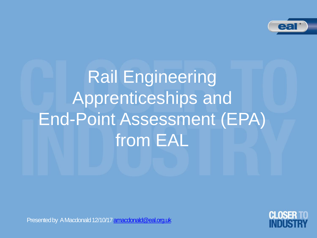

Rail Engineering Apprenticeships and End-Point Assessment (EPA) from EAL



Presented by A Macdonald 12/10/17 [amacdonald@eal.org.uk](mailto:amacdonald@eal.org.uk)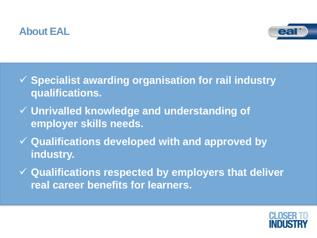## **About EAL**



- **Specialist awarding organisation for rail industry qualifications.**
- **Unrivalled knowledge and understanding of employer skills needs.**
- **Qualifications developed with and approved by industry.**
- **Qualifications respected by employers that deliver real career benefits for learners.**

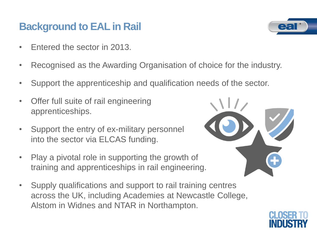## **Background to EAL in Rail**

- Entered the sector in 2013.
- Recognised as the Awarding Organisation of choice for the industry.
- Support the apprenticeship and qualification needs of the sector.
- Offer full suite of rail engineering apprenticeships.
- Support the entry of ex-military personnel into the sector via ELCAS funding.
- Play a pivotal role in supporting the growth of training and apprenticeships in rail engineering.
- Supply qualifications and support to rail training centres across the UK, including Academies at Newcastle College, Alstom in Widnes and NTAR in Northampton.





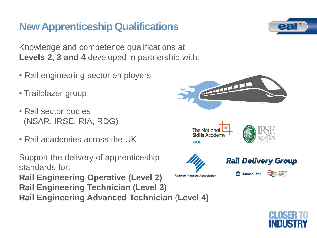# **New Apprenticeship Qualifications**

Knowledge and competence qualifications at **Levels 2, 3 and 4** developed in partnership with:

- Rail engineering sector employers
- Trailblazer group
- Rail sector bodies (NSAR, IRSE, RIA, RDG)
- Rail academies across the UK

Support the delivery of apprenticeship standards for:

**Rail Engineering Operative (Level 2)**

- **Rail Engineering Technician (Level 3)**
- **Rail Engineering Advanced Technician** (**Level 4)**



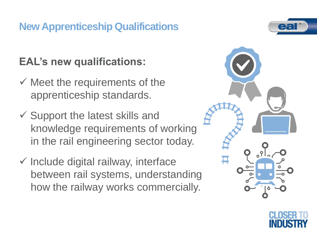# **New Apprenticeship Qualifications**

# **EAL's new qualifications:**

- $\checkmark$  Meet the requirements of the apprenticeship standards.
- $\checkmark$  Support the latest skills and knowledge requirements of working in the rail engineering sector today.
- $\checkmark$  Include digital railway, interface between rail systems, understanding how the railway works commercially.





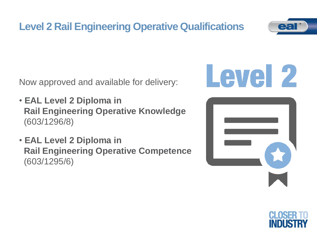# **Level 2 Rail Engineering Operative Qualifications**

Now approved and available for delivery:

- **EAL Level 2 Diploma in Rail Engineering Operative Knowledge** (603/1296/8)
- **EAL Level 2 Diploma in Rail Engineering Operative Competence**  (603/1295/6)









![](_page_5_Picture_8.jpeg)

![](_page_5_Picture_9.jpeg)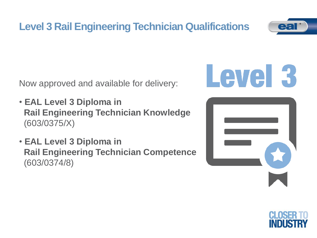![](_page_6_Picture_0.jpeg)

Now approved and available for delivery:

- **EAL Level 3 Diploma in Rail Engineering Technician Knowledge** (603/0375/X)
- **EAL Level 3 Diploma in Rail Engineering Technician Competence** (603/0374/8)

![](_page_6_Picture_4.jpeg)

![](_page_6_Picture_5.jpeg)

![](_page_6_Picture_6.jpeg)

![](_page_6_Picture_7.jpeg)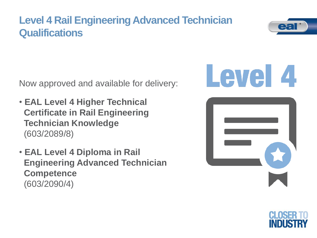## **Level 4 Rail Engineering Advanced Technician Qualifications**

![](_page_7_Picture_1.jpeg)

Now approved and available for delivery:

- **EAL Level 4 Higher Technical Certificate in Rail Engineering Technician Knowledge** (603/2089/8)
- **EAL Level 4 Diploma in Rail Engineering Advanced Technician Competence**  (603/2090/4)

![](_page_7_Picture_5.jpeg)

![](_page_7_Picture_6.jpeg)

![](_page_7_Picture_7.jpeg)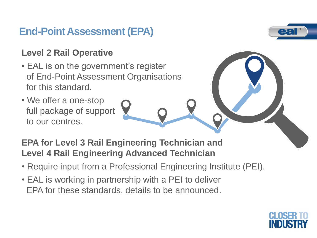## **End-Point Assessment (EPA)**

#### **Level 2 Rail Operative**

- EAL is on the government's register of End-Point Assessment Organisations for this standard.
- We offer a one-stop full package of support to our centres.

#### **EPA for Level 3 Rail Engineering Technician and Level 4 Rail Engineering Advanced Technician**

- Require input from a Professional Engineering Institute (PEI).
- EAL is working in partnership with a PEI to deliver EPA for these standards, details to be announced.

![](_page_8_Picture_8.jpeg)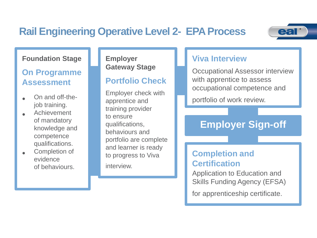## **Rail Engineering Operative Level 2- EPA Process**

![](_page_9_Picture_1.jpeg)

#### **Foundation Stage**

#### **On Programme Assessment**

- On and off-thejob training.
- Achievement of mandatory knowledge and competence qualifications.
- Completion of evidence of behaviours.

#### **Employer Gateway Stage**

#### **Portfolio Check**

Employer check with apprentice and training provider to ensure qualifications, behaviours and portfolio are complete and learner is ready to progress to Viva interview.

#### **Viva Interview**

Occupational Assessor interview with apprentice to assess occupational competence and

portfolio of work review.

#### **Employer Sign-off**

#### **Completion and Certification**

Application to Education and Skills Funding Agency (EFSA)

for apprenticeship certificate.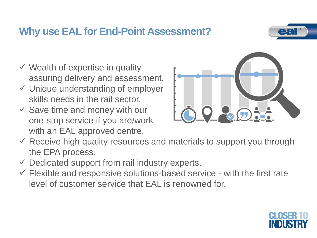## **Why use EAL for End-Point Assessment?**

![](_page_10_Picture_1.jpeg)

- $\checkmark$  Wealth of expertise in quality assuring delivery and assessment.
- $\checkmark$  Unique understanding of employer skills needs in the rail sector.
- $\checkmark$  Save time and money with our one-stop service if you are/work with an EAL approved centre.

![](_page_10_Picture_5.jpeg)

- $\checkmark$  Receive high quality resources and materials to support you through the EPA process.
- $\checkmark$  Dedicated support from rail industry experts.
- $\checkmark$  Flexible and responsive solutions-based service with the first rate level of customer service that EAL is renowned for.

![](_page_10_Picture_9.jpeg)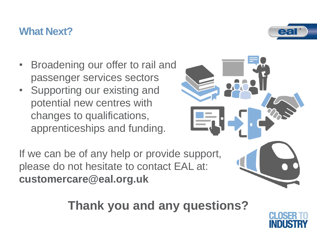### **What Next?**

- Broadening our offer to rail and passenger services sectors
- Supporting our existing and potential new centres with changes to qualifications, apprenticeships and funding.

If we can be of any help or provide support, please do not hesitate to contact EAL at: **customercare@eal.org.uk**

**Thank you and any questions?**

![](_page_11_Picture_6.jpeg)